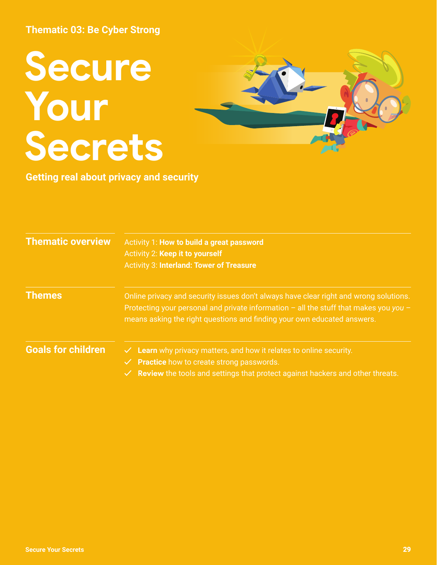# **Secure Your Secrets**



**Getting real about privacy and security**

| <b>Thematic overview</b>  | Activity 1: How to build a great password<br>Activity 2: Keep it to yourself<br><b>Activity 3: Interland: Tower of Treasure</b>                                                                                                                               |
|---------------------------|---------------------------------------------------------------------------------------------------------------------------------------------------------------------------------------------------------------------------------------------------------------|
| <b>Themes</b>             | Online privacy and security issues don't always have clear right and wrong solutions.<br>Protecting your personal and private information $-$ all the stuff that makes you you $-$<br>means asking the right questions and finding your own educated answers. |
| <b>Goals for children</b> | $\checkmark$ Learn why privacy matters, and how it relates to online security.<br>$\checkmark$ Practice how to create strong passwords.<br>$\checkmark$ Review the tools and settings that protect against hackers and other threats.                         |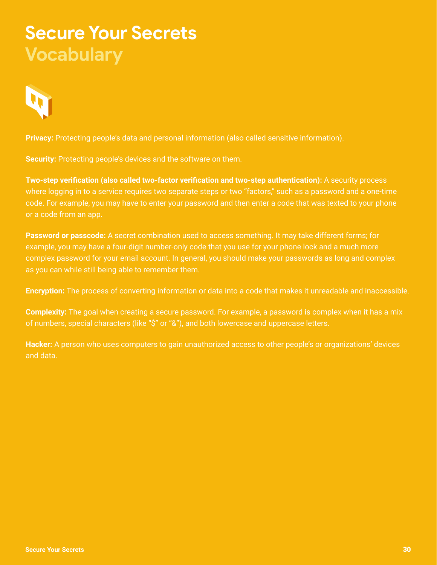## **Secure Your Secrets Vocabulary**



**Privacy:** Protecting people's data and personal information (also called sensitive information).

**Security:** Protecting people's devices and the software on them.

**Two-step verification (also called two-factor verification and two-step authentication):** A security process where logging in to a service requires two separate steps or two "factors," such as a password and a one-time code. For example, you may have to enter your password and then enter a code that was texted to your phone or a code from an app.

**Password or passcode:** A secret combination used to access something. It may take different forms; for example, you may have a four-digit number-only code that you use for your phone lock and a much more complex password for your email account. In general, you should make your passwords as long and complex as you can while still being able to remember them.

**Encryption:** The process of converting information or data into a code that makes it unreadable and inaccessible.

**Complexity:** The goal when creating a secure password. For example, a password is complex when it has a mix of numbers, special characters (like "\$" or "&"), and both lowercase and uppercase letters.

**Hacker:** A person who uses computers to gain unauthorized access to other people's or organizations' devices and data.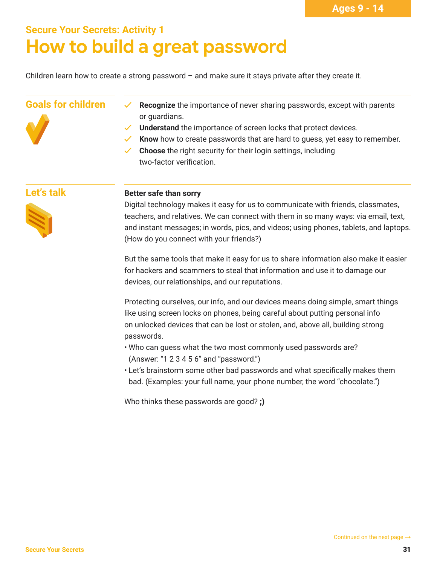## **Secure Your Secrets: Activity 1 How to build a great password**

Children learn how to create a strong password  $-$  and make sure it stays private after they create it.

#### **Goals for children**



- **✓ Recognize** the importance of never sharing passwords, except with parents or guardians.
- **Understand** the importance of screen locks that protect devices.
- **Know** how to create passwords that are hard to quess, yet easy to remember.
- **Choose** the right security for their login settings, including two-factor verification.

#### **Let's talk**



#### **Better safe than sorry**

Digital technology makes it easy for us to communicate with friends, classmates, teachers, and relatives. We can connect with them in so many ways: via email, text, and instant messages; in words, pics, and videos; using phones, tablets, and laptops. (How do you connect with your friends?)

But the same tools that make it easy for us to share information also make it easier for hackers and scammers to steal that information and use it to damage our devices, our relationships, and our reputations.

Protecting ourselves, our info, and our devices means doing simple, smart things like using screen locks on phones, being careful about putting personal info on unlocked devices that can be lost or stolen, and, above all, building strong passwords.

- Who can guess what the two most commonly used passwords are? (Answer: "1 2 3 4 5 6" and "password.")
- Let's brainstorm some other bad passwords and what specifically makes them bad. (Examples: your full name, your phone number, the word "chocolate.")

Who thinks these passwords are good? ;)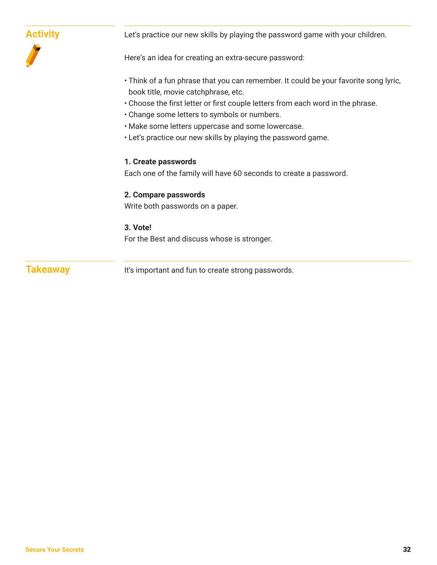| <b>Activity</b> | Let's practice our new skills by playing the password game with your children.                                                                                                                                 |
|-----------------|----------------------------------------------------------------------------------------------------------------------------------------------------------------------------------------------------------------|
|                 | Here's an idea for creating an extra-secure password:                                                                                                                                                          |
|                 | • Think of a fun phrase that you can remember. It could be your favorite song lyric,<br>book title, movie catchphrase, etc.<br>• Choose the first letter or first couple letters from each word in the phrase. |
|                 | . Change some letters to symbols or numbers.                                                                                                                                                                   |
|                 | . Make some letters uppercase and some lowercase.                                                                                                                                                              |
|                 | . Let's practice our new skills by playing the password game.                                                                                                                                                  |
|                 | 1. Create passwords                                                                                                                                                                                            |
|                 | Each one of the family will have 60 seconds to create a password.                                                                                                                                              |
|                 | 2. Compare passwords                                                                                                                                                                                           |
|                 | Write both passwords on a paper.                                                                                                                                                                               |
|                 | 3. Vote!                                                                                                                                                                                                       |
|                 | For the Best and discuss whose is stronger.                                                                                                                                                                    |
| <b>Takeaway</b> | It's important and fun to create strong passwords.                                                                                                                                                             |
|                 |                                                                                                                                                                                                                |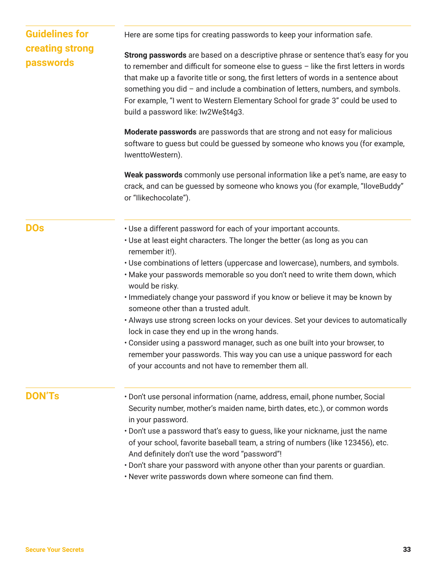| Here are some tips for creating passwords to keep your information safe.                                                                                                                                                                                                                                                                                                                                                                                                          |
|-----------------------------------------------------------------------------------------------------------------------------------------------------------------------------------------------------------------------------------------------------------------------------------------------------------------------------------------------------------------------------------------------------------------------------------------------------------------------------------|
| Strong passwords are based on a descriptive phrase or sentence that's easy for you<br>to remember and difficult for someone else to guess - like the first letters in words<br>that make up a favorite title or song, the first letters of words in a sentence about<br>something you did - and include a combination of letters, numbers, and symbols.<br>For example, "I went to Western Elementary School for grade 3" could be used to<br>build a password like: Iw2We\$t4g3. |
| Moderate passwords are passwords that are strong and not easy for malicious<br>software to guess but could be guessed by someone who knows you (for example,<br>IwenttoWestern).                                                                                                                                                                                                                                                                                                  |
| Weak passwords commonly use personal information like a pet's name, are easy to<br>crack, and can be guessed by someone who knows you (for example, "IloveBuddy"<br>or "llikechocolate").                                                                                                                                                                                                                                                                                         |
| . Use a different password for each of your important accounts.                                                                                                                                                                                                                                                                                                                                                                                                                   |
| • Use at least eight characters. The longer the better (as long as you can<br>remember it!).                                                                                                                                                                                                                                                                                                                                                                                      |
| . Use combinations of letters (uppercase and lowercase), numbers, and symbols.<br>. Make your passwords memorable so you don't need to write them down, which<br>would be risky.                                                                                                                                                                                                                                                                                                  |
| · Immediately change your password if you know or believe it may be known by<br>someone other than a trusted adult.                                                                                                                                                                                                                                                                                                                                                               |
| • Always use strong screen locks on your devices. Set your devices to automatically<br>lock in case they end up in the wrong hands.                                                                                                                                                                                                                                                                                                                                               |
| • Consider using a password manager, such as one built into your browser, to<br>remember your passwords. This way you can use a unique password for each<br>of your accounts and not have to remember them all.                                                                                                                                                                                                                                                                   |
| · Don't use personal information (name, address, email, phone number, Social                                                                                                                                                                                                                                                                                                                                                                                                      |
| Security number, mother's maiden name, birth dates, etc.), or common words<br>in your password.                                                                                                                                                                                                                                                                                                                                                                                   |
| . Don't use a password that's easy to guess, like your nickname, just the name<br>of your school, favorite baseball team, a string of numbers (like 123456), etc.<br>And definitely don't use the word "password"!                                                                                                                                                                                                                                                                |
| . Don't share your password with anyone other than your parents or guardian.<br>. Never write passwords down where someone can find them.                                                                                                                                                                                                                                                                                                                                         |
|                                                                                                                                                                                                                                                                                                                                                                                                                                                                                   |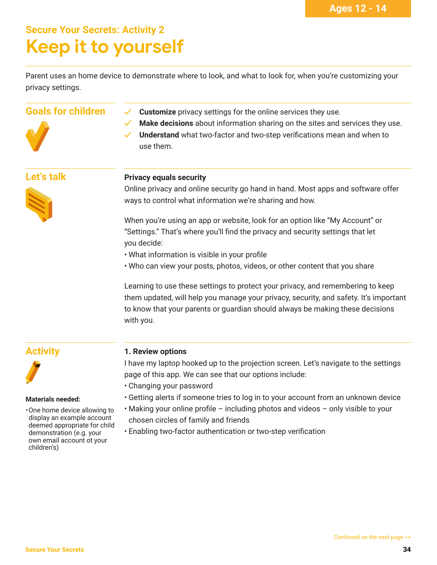## **Secure Your Secrets: Activity 2 Keep it to yourself**

Parent uses an home device to demonstrate where to look, and what to look for, when you're customizing your privacy settings.



- **Goals for children**  $\checkmark$  **Customize** privacy settings for the online services they use.
	- **Make decisions** about information sharing on the sites and services they use.
	- **Understand** what two-factor and two-step verifications mean and when to use them.

#### **Let's talk**



#### **Privacy equals security**

Online privacy and online security go hand in hand. Most apps and software offer ways to control what information we're sharing and how.

When you're using an app or website, look for an option like "My Account" or "Settings." That's where you'll find the privacy and security settings that let you decide:

- What information is visible in your profile
- Who can view your posts, photos, videos, or other content that you share

Learning to use these settings to protect your privacy, and remembering to keep them updated, will help you manage your privacy, security, and safety. It's important to know that your parents or guardian should always be making these decisions with you.

#### **Activity**



#### **Materials needed:**

• One home device allowing to display an example account deemed appropriate for child demonstration (e.g. your own email account ot your children's)

#### **1. Review options**

I have my laptop hooked up to the projection screen. Let's navigate to the settings page of this app. We can see that our options include:

- Changing your password
- Getting alerts if someone tries to log in to your account from an unknown device
- Making your online profile including photos and videos only visible to your chosen circles of family and friends
- Enabling two-factor authentication or two-step verification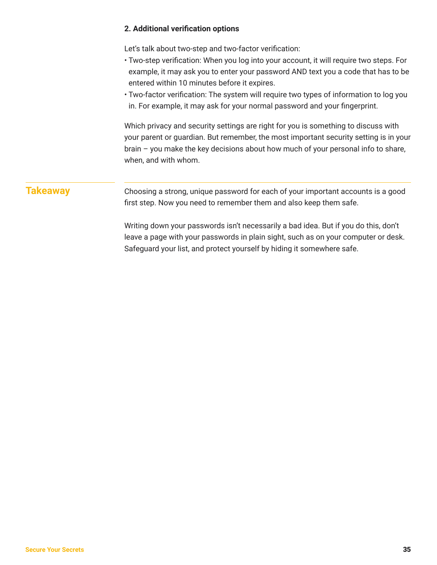#### **2. Additional verification options**

Let's talk about two-step and two-factor verification:

- Two-step verification: When you log into your account, it will require two steps. For example, it may ask you to enter your password AND text you a code that has to be entered within 10 minutes before it expires.
- Two-factor verification: The system will require two types of information to log you in. For example, it may ask for your normal password and your fingerprint.

Which privacy and security settings are right for you is something to discuss with your parent or guardian. But remember, the most important security setting is in your brain – you make the key decisions about how much of your personal info to share, when, and with whom.

#### **Takeaway**

Choosing a strong, unique password for each of your important accounts is a good first step. Now you need to remember them and also keep them safe.

Writing down your passwords isn't necessarily a bad idea. But if you do this, don't leave a page with your passwords in plain sight, such as on your computer or desk. Safeguard your list, and protect yourself by hiding it somewhere safe.